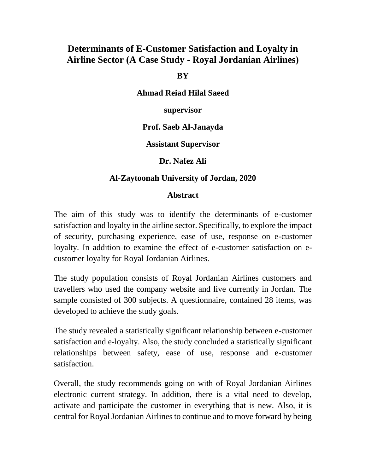# **Determinants of E-Customer Satisfaction and Loyalty in Airline Sector (A Case Study - Royal Jordanian Airlines)**

#### **BY**

**Ahmad Reiad Hilal Saeed**

**supervisor**

## **Prof. Saeb Al-Janayda**

**Assistant Supervisor**

### **Dr. Nafez Ali**

## **Al-Zaytoonah University of Jordan, 2020**

### **Abstract**

The aim of this study was to identify the determinants of e-customer satisfaction and loyalty in the airline sector. Specifically, to explore the impact of security, purchasing experience, ease of use, response on e-customer loyalty. In addition to examine the effect of e-customer satisfaction on ecustomer loyalty for Royal Jordanian Airlines.

The study population consists of Royal Jordanian Airlines customers and travellers who used the company website and live currently in Jordan. The sample consisted of 300 subjects. A questionnaire, contained 28 items, was developed to achieve the study goals.

The study revealed a statistically significant relationship between e-customer satisfaction and e-loyalty. Also, the study concluded a statistically significant relationships between safety, ease of use, response and e-customer satisfaction.

Overall, the study recommends going on with of Royal Jordanian Airlines electronic current strategy. In addition, there is a vital need to develop, activate and participate the customer in everything that is new. Also, it is central for Royal Jordanian Airlines to continue and to move forward by being